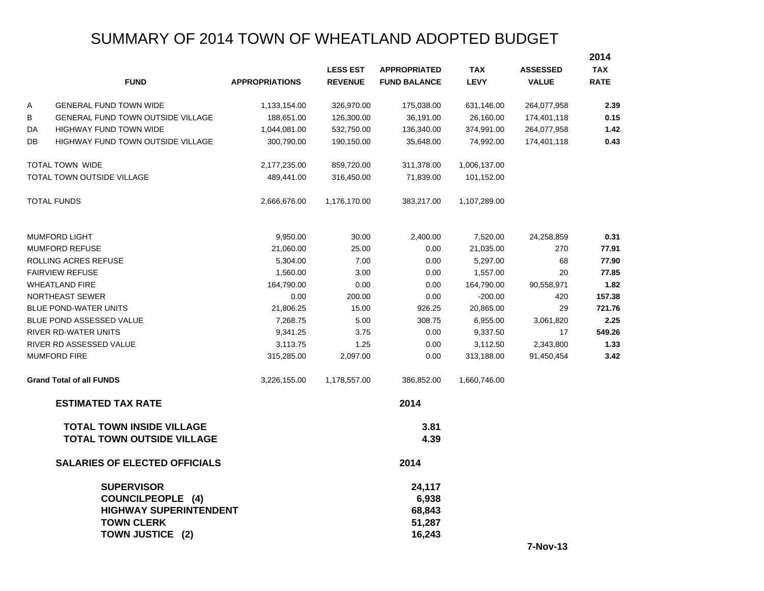# SUMMARY OF 2014 TOWN OF WHEATLAND ADOPTED BUDGET

|                      |                                                                                                                         |                       |                 |                                               |              |                 | 2014        |
|----------------------|-------------------------------------------------------------------------------------------------------------------------|-----------------------|-----------------|-----------------------------------------------|--------------|-----------------|-------------|
|                      |                                                                                                                         |                       | <b>LESS EST</b> | <b>APPROPRIATED</b>                           | <b>TAX</b>   | <b>ASSESSED</b> | <b>TAX</b>  |
|                      | <b>FUND</b>                                                                                                             | <b>APPROPRIATIONS</b> | <b>REVENUE</b>  | <b>FUND BALANCE</b>                           | <b>LEVY</b>  | <b>VALUE</b>    | <b>RATE</b> |
| Α                    | <b>GENERAL FUND TOWN WIDE</b>                                                                                           | 1,133,154.00          | 326,970.00      | 175,038.00                                    | 631,146.00   | 264,077,958     | 2.39        |
| В                    | <b>GENERAL FUND TOWN OUTSIDE VILLAGE</b>                                                                                | 188,651.00            | 126,300.00      | 36,191.00                                     | 26,160.00    | 174,401,118     | 0.15        |
| DA                   | <b>HIGHWAY FUND TOWN WIDE</b>                                                                                           | 1,044,081.00          | 532,750.00      | 136,340.00                                    | 374,991.00   | 264,077,958     | 1.42        |
| DB                   | <b>HIGHWAY FUND TOWN OUTSIDE VILLAGE</b>                                                                                | 300,790.00            | 190,150.00      | 35,648.00                                     | 74,992.00    | 174,401,118     | 0.43        |
|                      | <b>TOTAL TOWN WIDE</b>                                                                                                  | 2,177,235.00          | 859,720.00      | 311,378.00                                    | 1,006,137.00 |                 |             |
|                      | TOTAL TOWN OUTSIDE VILLAGE                                                                                              | 489,441.00            | 316,450.00      | 71,839.00                                     | 101,152.00   |                 |             |
|                      | <b>TOTAL FUNDS</b>                                                                                                      | 2,666,676.00          | 1,176,170.00    | 383,217.00                                    | 1,107,289.00 |                 |             |
|                      | <b>MUMFORD LIGHT</b>                                                                                                    | 9,950.00              | 30.00           | 2,400.00                                      | 7,520.00     | 24,258,859      | 0.31        |
|                      | <b>MUMFORD REFUSE</b>                                                                                                   | 21,060.00             | 25.00           | 0.00                                          | 21,035.00    | 270             | 77.91       |
| ROLLING ACRES REFUSE |                                                                                                                         | 5,304.00              | 7.00            | 0.00                                          | 5,297.00     | 68              | 77.90       |
|                      | <b>FAIRVIEW REFUSE</b>                                                                                                  | 1,560.00              | 3.00            | 0.00                                          | 1,557.00     | 20              | 77.85       |
|                      | <b>WHEATLAND FIRE</b>                                                                                                   | 164,790.00            | 0.00            | 0.00                                          | 164,790.00   | 90,558,971      | 1.82        |
|                      | NORTHEAST SEWER                                                                                                         | 0.00                  | 200.00          | 0.00                                          | $-200.00$    | 420             | 157.38      |
|                      | <b>BLUE POND-WATER UNITS</b>                                                                                            | 21,806.25             | 15.00           | 926.25                                        | 20,865.00    | 29              | 721.76      |
|                      | BLUE POND ASSESSED VALUE                                                                                                | 7,268.75              | 5.00            | 308.75                                        | 6,955.00     | 3,061,820       | 2.25        |
|                      | <b>RIVER RD-WATER UNITS</b>                                                                                             | 9,341.25              | 3.75            | 0.00                                          | 9,337.50     | 17              | 549.26      |
|                      | RIVER RD ASSESSED VALUE                                                                                                 | 3,113.75              | 1.25            | 0.00                                          | 3,112.50     | 2,343,800       | 1.33        |
|                      | <b>MUMFORD FIRE</b>                                                                                                     | 315,285.00            | 2,097.00        | 0.00                                          | 313,188.00   | 91,450,454      | 3.42        |
|                      | <b>Grand Total of all FUNDS</b>                                                                                         | 3,226,155.00          | 1,178,557.00    | 386,852.00                                    | 1,660,746.00 |                 |             |
|                      | <b>ESTIMATED TAX RATE</b>                                                                                               |                       |                 | 2014                                          |              |                 |             |
|                      | <b>TOTAL TOWN INSIDE VILLAGE</b><br><b>TOTAL TOWN OUTSIDE VILLAGE</b>                                                   |                       |                 | 3.81<br>4.39                                  |              |                 |             |
|                      | <b>SALARIES OF ELECTED OFFICIALS</b>                                                                                    |                       |                 | 2014                                          |              |                 |             |
|                      | <b>SUPERVISOR</b><br><b>COUNCILPEOPLE (4)</b><br><b>HIGHWAY SUPERINTENDENT</b><br><b>TOWN CLERK</b><br>TOWN JUSTICE (2) |                       |                 | 24,117<br>6,938<br>68,843<br>51,287<br>16,243 |              |                 |             |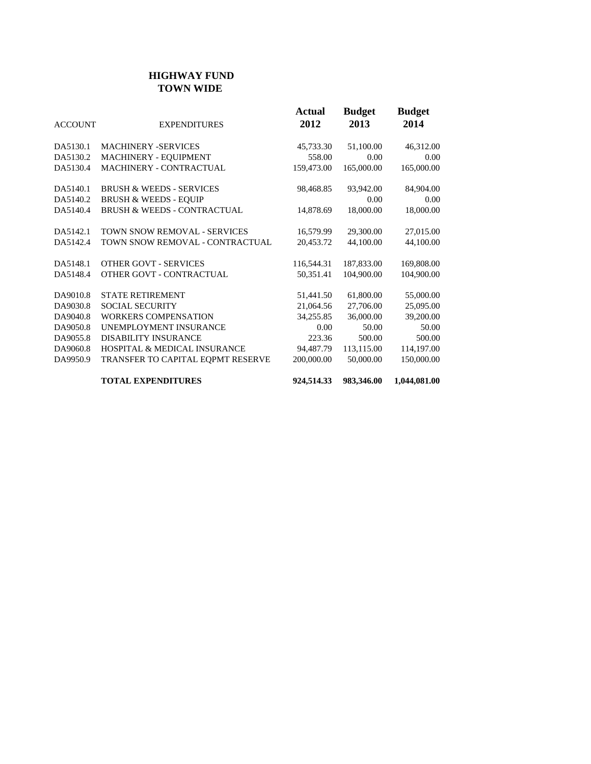## **HIGHWAY FUND TOWN WIDE**

| <b>ACCOUNT</b> | <b>EXPENDITURES</b>                     | Actual<br>2012 | <b>Budget</b><br>2013 | <b>Budget</b><br>2014 |
|----------------|-----------------------------------------|----------------|-----------------------|-----------------------|
| DA5130.1       | <b>MACHINERY -SERVICES</b>              | 45,733.30      | 51,100.00             | 46,312.00             |
| DA5130.2       | MACHINERY - EQUIPMENT                   | 558.00         | 0.00                  | 0.00                  |
| DA5130.4       | MACHINERY - CONTRACTUAL                 | 159,473.00     | 165,000.00            | 165,000.00            |
| DA5140.1       | <b>BRUSH &amp; WEEDS - SERVICES</b>     | 98,468.85      | 93,942.00             | 84,904.00             |
| DA5140.2       | <b>BRUSH &amp; WEEDS - EQUIP</b>        |                | 0.00                  | 0.00                  |
| DA5140.4       | <b>BRUSH &amp; WEEDS - CONTRACTUAL</b>  | 14,878.69      | 18,000.00             | 18,000.00             |
| DA5142.1       | TOWN SNOW REMOVAL - SERVICES            | 16,579.99      | 29,300.00             | 27,015.00             |
| DA5142.4       | TOWN SNOW REMOVAL - CONTRACTUAL         | 20,453.72      | 44,100.00             | 44,100.00             |
| DA5148.1       | <b>OTHER GOVT - SERVICES</b>            | 116,544.31     | 187,833.00            | 169,808.00            |
| DA5148.4       | OTHER GOVT - CONTRACTUAL                | 50,351.41      | 104,900.00            | 104,900.00            |
| DA9010.8       | <b>STATE RETIREMENT</b>                 | 51,441.50      | 61,800.00             | 55,000.00             |
| DA9030.8       | <b>SOCIAL SECURITY</b>                  | 21,064.56      | 27,706.00             | 25,095.00             |
| DA9040.8       | <b>WORKERS COMPENSATION</b>             | 34,255.85      | 36,000.00             | 39,200.00             |
| DA9050.8       | UNEMPLOYMENT INSURANCE                  | 0.00           | 50.00                 | 50.00                 |
| DA9055.8       | <b>DISABILITY INSURANCE</b>             | 223.36         | 500.00                | 500.00                |
| DA9060.8       | <b>HOSPITAL &amp; MEDICAL INSURANCE</b> | 94,487.79      | 113,115.00            | 114,197.00            |
| DA9950.9       | TRANSFER TO CAPITAL EQPMT RESERVE       | 200,000.00     | 50,000.00             | 150,000.00            |
|                | <b>TOTAL EXPENDITURES</b>               | 924,514.33     | 983,346.00            | 1,044,081.00          |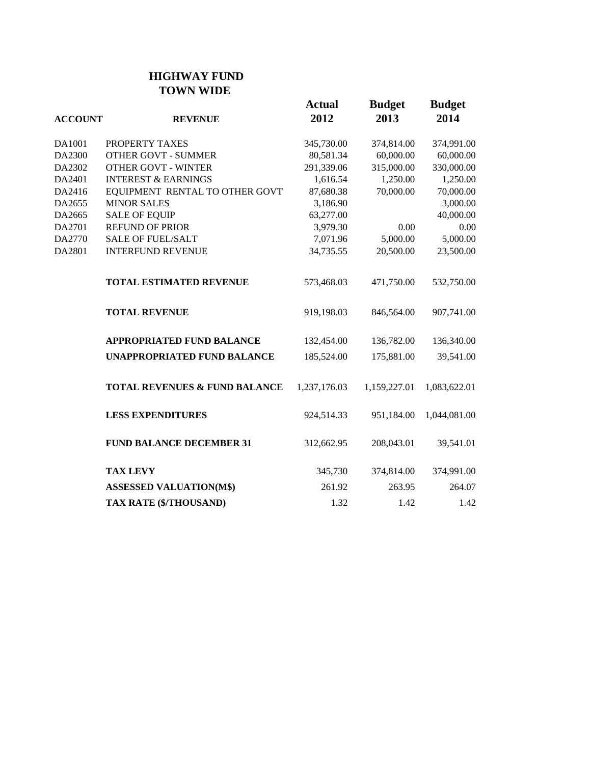## **HIGHWAY FUND TOWN WIDE**

| <b>ACCOUNT</b> | <b>REVENUE</b>                           | <b>Actual</b><br>2012 | <b>Budget</b><br>2013 | <b>Budget</b><br>2014 |
|----------------|------------------------------------------|-----------------------|-----------------------|-----------------------|
| DA1001         | PROPERTY TAXES                           | 345,730.00            | 374,814.00            | 374,991.00            |
| DA2300         | <b>OTHER GOVT - SUMMER</b>               | 80,581.34             | 60,000.00             | 60,000.00             |
| DA2302         | <b>OTHER GOVT - WINTER</b>               | 291,339.06            | 315,000.00            | 330,000.00            |
| DA2401         | <b>INTEREST &amp; EARNINGS</b>           | 1,616.54              | 1,250.00              | 1,250.00              |
| DA2416         | EQUIPMENT RENTAL TO OTHER GOVT           | 87,680.38             | 70,000.00             | 70,000.00             |
| DA2655         | <b>MINOR SALES</b>                       | 3,186.90              |                       | 3,000.00              |
| DA2665         | <b>SALE OF EQUIP</b>                     | 63,277.00             |                       | 40,000.00             |
| DA2701         | <b>REFUND OF PRIOR</b>                   | 3,979.30              | 0.00                  | $0.00\,$              |
| DA2770         | <b>SALE OF FUEL/SALT</b>                 | 7,071.96              | 5,000.00              | 5,000.00              |
| DA2801         | <b>INTERFUND REVENUE</b>                 | 34,735.55             | 20,500.00             | 23,500.00             |
|                | <b>TOTAL ESTIMATED REVENUE</b>           | 573,468.03            | 471,750.00            | 532,750.00            |
|                | <b>TOTAL REVENUE</b>                     | 919,198.03            | 846,564.00            | 907,741.00            |
|                | <b>APPROPRIATED FUND BALANCE</b>         | 132,454.00            | 136,782.00            | 136,340.00            |
|                | <b>UNAPPROPRIATED FUND BALANCE</b>       | 185,524.00            | 175,881.00            | 39,541.00             |
|                | <b>TOTAL REVENUES &amp; FUND BALANCE</b> | 1,237,176.03          | 1,159,227.01          | 1,083,622.01          |
|                | <b>LESS EXPENDITURES</b>                 | 924,514.33            | 951,184.00            | 1,044,081.00          |
|                | <b>FUND BALANCE DECEMBER 31</b>          | 312,662.95            | 208,043.01            | 39,541.01             |
|                | <b>TAX LEVY</b>                          | 345,730               | 374,814.00            | 374,991.00            |
|                | <b>ASSESSED VALUATION(M\$)</b>           | 261.92                | 263.95                | 264.07                |
|                | <b>TAX RATE (\$/THOUSAND)</b>            | 1.32                  | 1.42                  | 1.42                  |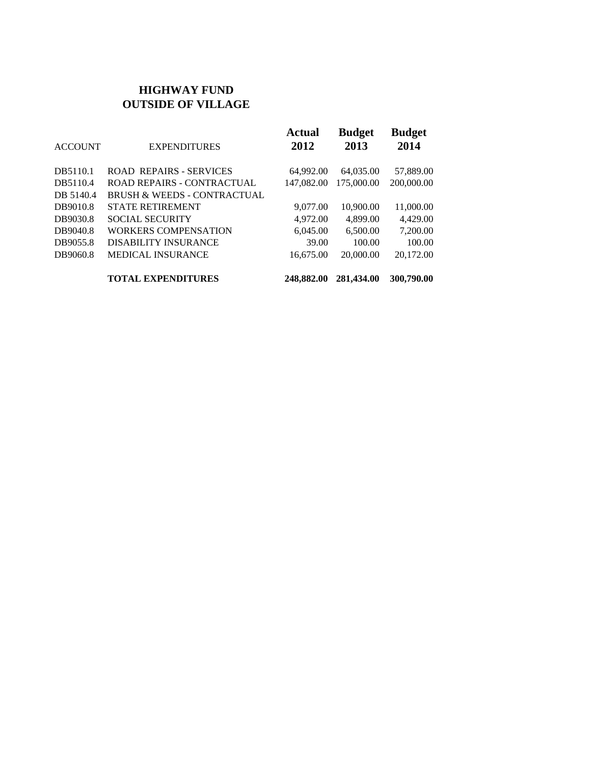### **HIGHWAY FUND OUTSIDE OF VILLAGE**

| <b>ACCOUNT</b> | <b>EXPENDITURES</b>                    | <b>Actual</b><br>2012 | <b>Budget</b><br>2013 | <b>Budget</b><br>2014 |
|----------------|----------------------------------------|-----------------------|-----------------------|-----------------------|
| DB5110.1       | <b>ROAD REPAIRS - SERVICES</b>         | 64,992.00             | 64,035.00             | 57,889.00             |
| DB5110.4       | ROAD REPAIRS - CONTRACTUAL             | 147,082.00            | 175,000.00            | 200,000.00            |
| DB 5140.4      | <b>BRUSH &amp; WEEDS - CONTRACTUAL</b> |                       |                       |                       |
| DB9010.8       | <b>STATE RETIREMENT</b>                | 9,077.00              | 10.900.00             | 11,000.00             |
| DB9030.8       | <b>SOCIAL SECURITY</b>                 | 4,972.00              | 4,899.00              | 4.429.00              |
| DB9040.8       | <b>WORKERS COMPENSATION</b>            | 6.045.00              | 6.500.00              | 7.200.00              |
| DB9055.8       | <b>DISABILITY INSURANCE</b>            | 39.00                 | 100.00                | 100.00                |
| DB9060.8       | <b>MEDICAL INSURANCE</b>               | 16,675.00             | 20,000.00             | 20,172.00             |
|                | <b>TOTAL EXPENDITURES</b>              | 248,882.00            | 281,434.00            | 300,790.00            |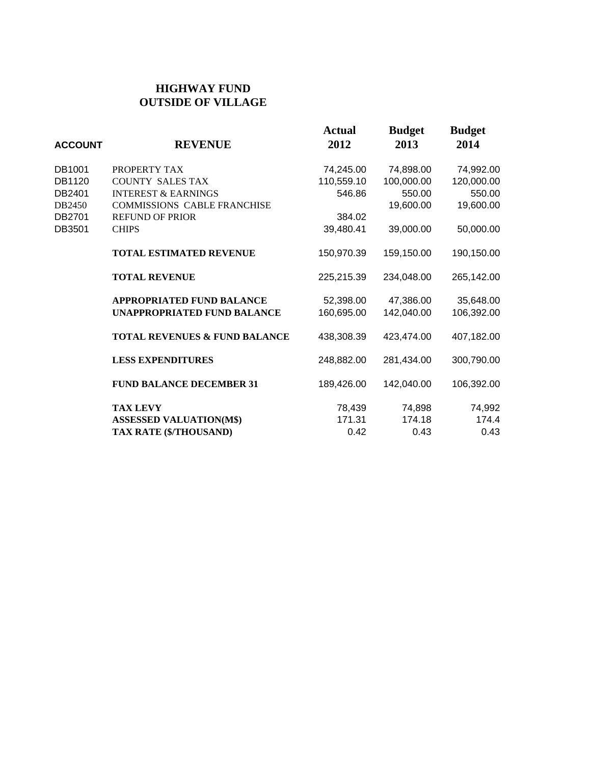## **HIGHWAY FUND OUTSIDE OF VILLAGE**

| <b>ACCOUNT</b> | <b>REVENUE</b>                           | <b>Actual</b><br>2012 | <b>Budget</b><br>2013 | <b>Budget</b><br>2014 |
|----------------|------------------------------------------|-----------------------|-----------------------|-----------------------|
| DB1001         | PROPERTY TAX                             | 74,245.00             | 74,898.00             | 74,992.00             |
| DB1120         | <b>COUNTY SALES TAX</b>                  | 110,559.10            | 100,000.00            | 120,000.00            |
| DB2401         | <b>INTEREST &amp; EARNINGS</b>           | 546.86                | 550.00                | 550.00                |
| DB2450         | <b>COMMISSIONS CABLE FRANCHISE</b>       |                       | 19,600.00             | 19,600.00             |
| DB2701         | <b>REFUND OF PRIOR</b>                   | 384.02                |                       |                       |
| DB3501         | <b>CHIPS</b>                             | 39,480.41             | 39,000.00             | 50,000.00             |
|                | <b>TOTAL ESTIMATED REVENUE</b>           | 150,970.39            | 159,150.00            | 190,150.00            |
|                | <b>TOTAL REVENUE</b>                     | 225,215.39            | 234,048.00            | 265,142.00            |
|                | <b>APPROPRIATED FUND BALANCE</b>         | 52,398.00             | 47,386.00             | 35,648.00             |
|                | UNAPPROPRIATED FUND BALANCE              | 160,695.00            | 142,040.00            | 106,392.00            |
|                | <b>TOTAL REVENUES &amp; FUND BALANCE</b> | 438,308.39            | 423,474.00            | 407,182.00            |
|                | <b>LESS EXPENDITURES</b>                 | 248,882.00            | 281,434.00            | 300,790.00            |
|                | <b>FUND BALANCE DECEMBER 31</b>          | 189,426.00            | 142,040.00            | 106,392.00            |
|                | <b>TAX LEVY</b>                          | 78,439                | 74,898                | 74,992                |
|                | <b>ASSESSED VALUATION(M\$)</b>           | 171.31                | 174.18                | 174.4                 |
|                | TAX RATE (\$/THOUSAND)                   | 0.42                  | 0.43                  | 0.43                  |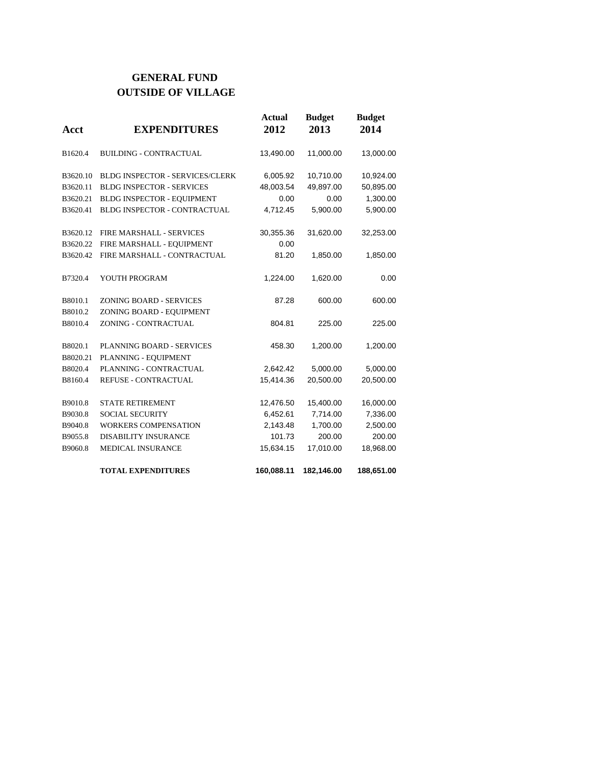## **GENERAL FUND OUTSIDE OF VILLAGE**

| Acct                 | <b>EXPENDITURES</b>                    | <b>Actual</b><br>2012 | <b>Budget</b><br>2013 | <b>Budget</b><br>2014 |
|----------------------|----------------------------------------|-----------------------|-----------------------|-----------------------|
| B1620.4              | <b>BUILDING - CONTRACTUAL</b>          | 13,490.00             | 11,000.00             | 13,000.00             |
| B3620.10             | <b>BLDG INSPECTOR - SERVICES/CLERK</b> | 6,005.92              | 10,710.00             | 10,924.00             |
| B3620.11             | <b>BLDG INSPECTOR - SERVICES</b>       | 48,003.54             | 49,897.00             | 50,895.00             |
| B3620.21             | BLDG INSPECTOR - EQUIPMENT             | 0.00                  | 0.00                  | 1,300.00              |
| B3620.41             | <b>BLDG INSPECTOR - CONTRACTUAL</b>    | 4,712.45              | 5,900.00              | 5,900.00              |
| B <sub>3620.12</sub> | FIRE MARSHALL - SERVICES               | 30,355.36             | 31,620.00             | 32,253.00             |
| B3620.22             | FIRE MARSHALL - EQUIPMENT              | 0.00                  |                       |                       |
| B3620.42             | FIRE MARSHALL - CONTRACTUAL            | 81.20                 | 1,850.00              | 1,850.00              |
| B7320.4              | YOUTH PROGRAM                          | 1,224.00              | 1,620.00              | 0.00                  |
| B8010.1              | ZONING BOARD - SERVICES                | 87.28                 | 600.00                | 600.00                |
| B8010.2              | ZONING BOARD - EQUIPMENT               |                       |                       |                       |
| B8010.4              | ZONING - CONTRACTUAL                   | 804.81                | 225.00                | 225.00                |
| B8020.1              | PLANNING BOARD - SERVICES              | 458.30                | 1,200.00              | 1,200.00              |
| B8020.21             | PLANNING - EQUIPMENT                   |                       |                       |                       |
| B8020.4              | PLANNING - CONTRACTUAL                 | 2,642.42              | 5,000.00              | 5,000.00              |
| B8160.4              | <b>REFUSE - CONTRACTUAL</b>            | 15,414.36             | 20,500.00             | 20,500.00             |
| B9010.8              | <b>STATE RETIREMENT</b>                | 12,476.50             | 15,400.00             | 16,000.00             |
| B9030.8              | <b>SOCIAL SECURITY</b>                 | 6,452.61              | 7,714.00              | 7,336.00              |
| B9040.8              | <b>WORKERS COMPENSATION</b>            | 2,143.48              | 1,700.00              | 2,500.00              |
| B9055.8              | <b>DISABILITY INSURANCE</b>            | 101.73                | 200.00                | 200.00                |
| B9060.8              | <b>MEDICAL INSURANCE</b>               | 15,634.15             | 17,010.00             | 18,968.00             |
|                      | <b>TOTAL EXPENDITURES</b>              | 160,088.11            | 182,146.00            | 188,651.00            |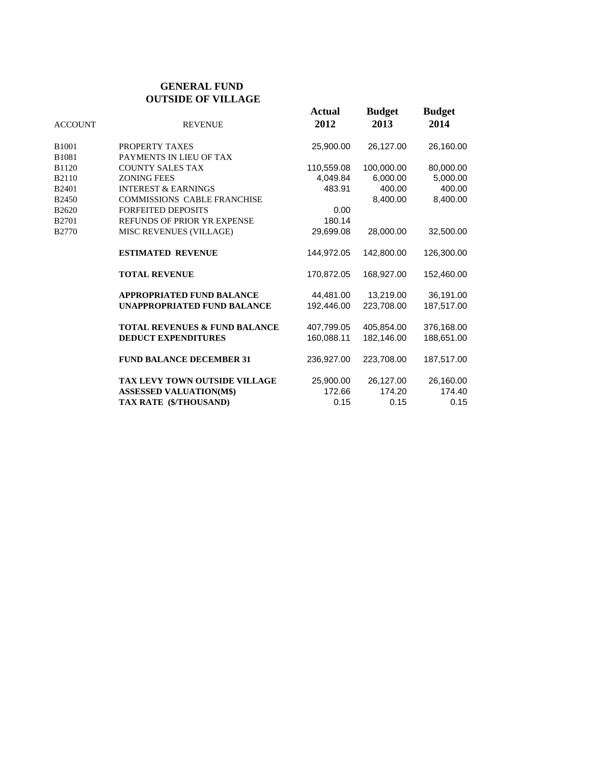### **GENERAL FUND OUTSIDE OF VILLAGE**

| <b>ACCOUNT</b>    | <b>REVENUE</b>                           | <b>Actual</b><br>2012 | <b>Budget</b><br>2013 | <b>Budget</b><br>2014 |
|-------------------|------------------------------------------|-----------------------|-----------------------|-----------------------|
| B1001             | PROPERTY TAXES                           | 25,900.00             | 26,127.00             | 26,160.00             |
| B <sub>1081</sub> | PAYMENTS IN LIEU OF TAX                  |                       |                       |                       |
| B1120             | <b>COUNTY SALES TAX</b>                  | 110,559.08            | 100,000.00            | 80,000.00             |
| B2110             | <b>ZONING FEES</b>                       | 4,049.84              | 6,000.00              | 5,000.00              |
| B <sub>2401</sub> | <b>INTEREST &amp; EARNINGS</b>           | 483.91                | 400.00                | 400.00                |
| B2450             | <b>COMMISSIONS CABLE FRANCHISE</b>       |                       | 8,400.00              | 8.400.00              |
| B2620             | <b>FORFEITED DEPOSITS</b>                | 0.00                  |                       |                       |
| B2701             | REFUNDS OF PRIOR YR EXPENSE              | 180.14                |                       |                       |
| B2770             | <b>MISC REVENUES (VILLAGE)</b>           | 29,699.08             | 28,000.00             | 32,500.00             |
|                   | <b>ESTIMATED REVENUE</b>                 | 144,972.05            | 142.800.00            | 126,300.00            |
|                   | <b>TOTAL REVENUE</b>                     | 170.872.05            | 168.927.00            | 152.460.00            |
|                   | <b>APPROPRIATED FUND BALANCE</b>         | 44,481.00             | 13,219.00             | 36,191.00             |
|                   | <b>UNAPPROPRIATED FUND BALANCE</b>       | 192.446.00            | 223.708.00            | 187,517.00            |
|                   | <b>TOTAL REVENUES &amp; FUND BALANCE</b> | 407,799.05            | 405,854.00            | 376,168.00            |
|                   | <b>DEDUCT EXPENDITURES</b>               | 160,088.11            | 182,146.00            | 188,651.00            |
|                   | <b>FUND BALANCE DECEMBER 31</b>          | 236,927.00            | 223,708.00            | 187,517.00            |
|                   | <b>TAX LEVY TOWN OUTSIDE VILLAGE</b>     | 25,900.00             | 26,127.00             | 26,160.00             |
|                   | <b>ASSESSED VALUATION(M\$)</b>           | 172.66                | 174.20                | 174.40                |
|                   | TAX RATE (\$/THOUSAND)                   | 0.15                  | 0.15                  | 0.15                  |
|                   |                                          |                       |                       |                       |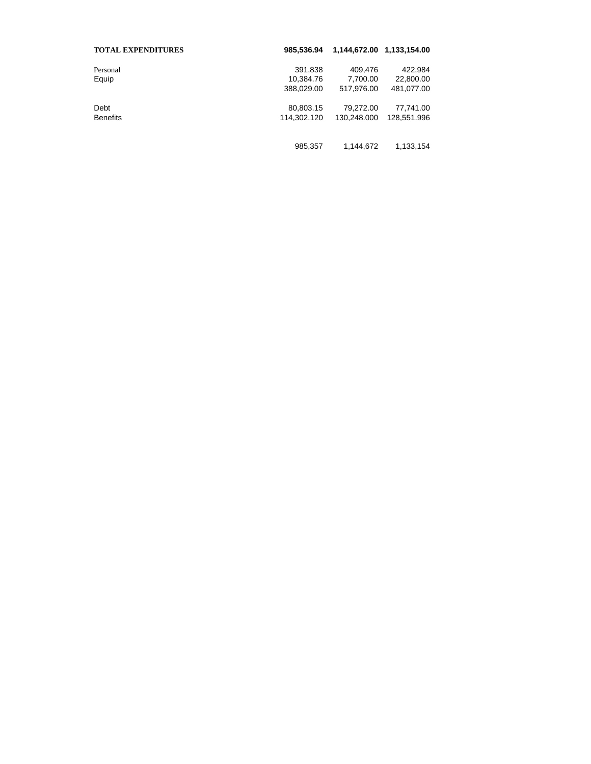| <b>TOTAL EXPENDITURES</b> | 985.536.94  |             | 1,144,672.00 1,133,154.00 |
|---------------------------|-------------|-------------|---------------------------|
| Personal                  | 391,838     | 409,476     | 422,984                   |
| Equip                     | 10,384.76   | 7,700.00    | 22,800.00                 |
|                           | 388,029.00  | 517,976.00  | 481,077.00                |
| Debt                      | 80,803.15   | 79,272.00   | 77,741.00                 |
| <b>Benefits</b>           | 114.302.120 | 130.248.000 | 128,551.996               |
|                           |             |             |                           |
|                           | 985,357     | 1,144,672   | 1,133,154                 |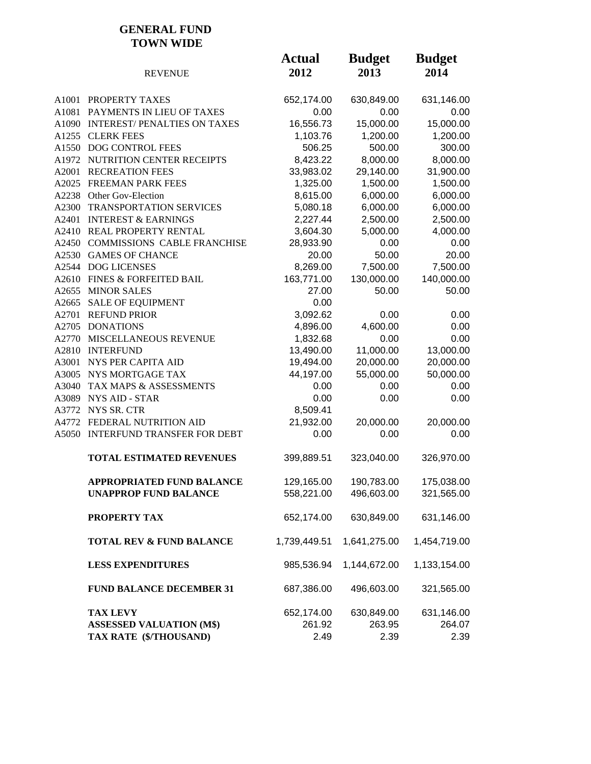### **GENERAL FUND TOWN WIDE**

|       | <b>REVENUE</b>                      | <b>Actual</b><br>2012 | <b>Budget</b><br>2013 | <b>Budget</b><br>2014 |
|-------|-------------------------------------|-----------------------|-----------------------|-----------------------|
|       | A1001 PROPERTY TAXES                | 652,174.00            | 630,849.00            | 631,146.00            |
| A1081 | PAYMENTS IN LIEU OF TAXES           | 0.00                  | 0.00                  | 0.00                  |
|       | A1090 INTEREST/PENALTIES ON TAXES   | 16,556.73             | 15,000.00             | 15,000.00             |
|       | A1255 CLERK FEES                    | 1,103.76              | 1,200.00              | 1,200.00              |
|       | A1550 DOG CONTROL FEES              | 506.25                | 500.00                | 300.00                |
|       | A1972 NUTRITION CENTER RECEIPTS     | 8,423.22              | 8,000.00              | 8,000.00              |
| A2001 | <b>RECREATION FEES</b>              | 33,983.02             | 29,140.00             | 31,900.00             |
|       | A2025 FREEMAN PARK FEES             | 1,325.00              | 1,500.00              | 1,500.00              |
|       | A2238 Other Gov-Election            | 8,615.00              | 6,000.00              | 6,000.00              |
| A2300 | TRANSPORTATION SERVICES             | 5,080.18              | 6,000.00              | 6,000.00              |
| A2401 | <b>INTEREST &amp; EARNINGS</b>      | 2,227.44              | 2,500.00              | 2,500.00              |
|       | A2410 REAL PROPERTY RENTAL          | 3,604.30              | 5,000.00              | 4,000.00              |
|       | A2450 COMMISSIONS CABLE FRANCHISE   | 28,933.90             | 0.00                  | 0.00                  |
|       | A2530 GAMES OF CHANCE               | 20.00                 | 50.00                 | 20.00                 |
|       | A2544 DOG LICENSES                  | 8,269.00              | 7,500.00              | 7,500.00              |
|       | A2610 FINES & FORFEITED BAIL        | 163,771.00            | 130,000.00            | 140,000.00            |
|       | A2655 MINOR SALES                   | 27.00                 | 50.00                 | 50.00                 |
| A2665 | <b>SALE OF EQUIPMENT</b>            | 0.00                  |                       |                       |
| A2701 | <b>REFUND PRIOR</b>                 | 3,092.62              | 0.00                  | 0.00                  |
|       | A2705 DONATIONS                     | 4,896.00              | 4,600.00              | 0.00                  |
|       | A2770 MISCELLANEOUS REVENUE         | 1,832.68              | 0.00                  | 0.00                  |
|       | A2810 INTERFUND                     | 13,490.00             | 11,000.00             | 13,000.00             |
| A3001 | NYS PER CAPITA AID                  | 19,494.00             | 20,000.00             | 20,000.00             |
|       | A3005 NYS MORTGAGE TAX              | 44,197.00             | 55,000.00             | 50,000.00             |
| A3040 | TAX MAPS & ASSESSMENTS              | 0.00                  | 0.00                  | 0.00                  |
| A3089 | <b>NYS AID - STAR</b>               | 0.00                  | 0.00                  | 0.00                  |
|       | A3772 NYS SR. CTR                   | 8,509.41              |                       |                       |
|       | A4772 FEDERAL NUTRITION AID         | 21,932.00             | 20,000.00             | 20,000.00             |
|       | A5050 INTERFUND TRANSFER FOR DEBT   | 0.00                  | 0.00                  | 0.00                  |
|       | <b>TOTAL ESTIMATED REVENUES</b>     | 399,889.51            | 323,040.00            | 326,970.00            |
|       | APPROPRIATED FUND BALANCE           | 129,165.00            | 190,783.00            | 175,038.00            |
|       | <b>UNAPPROP FUND BALANCE</b>        | 558,221.00            | 496,603.00            | 321,565.00            |
|       | PROPERTY TAX                        | 652,174.00            | 630,849.00            | 631,146.00            |
|       | <b>TOTAL REV &amp; FUND BALANCE</b> | 1,739,449.51          | 1,641,275.00          | 1,454,719.00          |
|       | <b>LESS EXPENDITURES</b>            | 985,536.94            | 1,144,672.00          | 1,133,154.00          |
|       | <b>FUND BALANCE DECEMBER 31</b>     | 687,386.00            | 496,603.00            | 321,565.00            |
|       | <b>TAX LEVY</b>                     | 652,174.00            | 630,849.00            | 631,146.00            |
|       | <b>ASSESSED VALUATION (M\$)</b>     | 261.92                | 263.95                | 264.07                |
|       | TAX RATE (\$/THOUSAND)              | 2.49                  | 2.39                  | 2.39                  |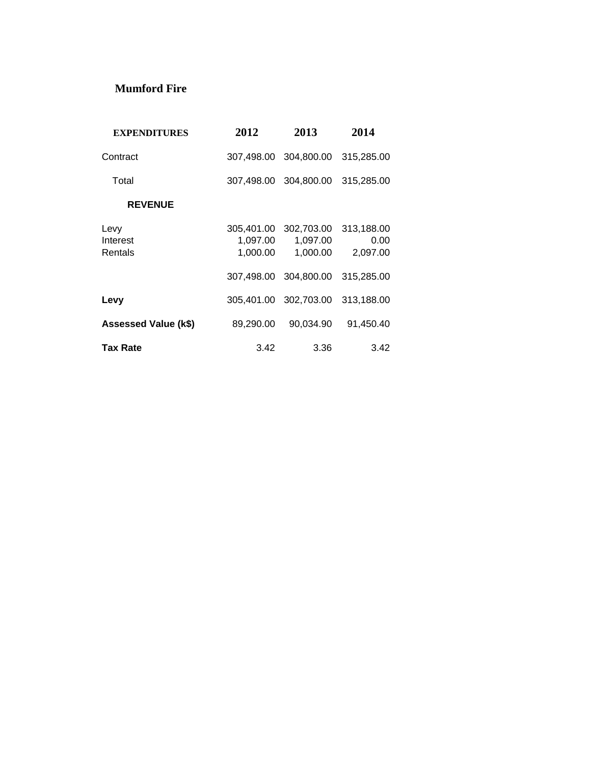## **Mumford Fire**

| <b>EXPENDITURES</b>         | 2012                 | 2013                                          | 2014                           |
|-----------------------------|----------------------|-----------------------------------------------|--------------------------------|
| Contract                    |                      | 307,498.00 304,800.00                         | 315,285,00                     |
| Total                       |                      | 307,498.00 304,800.00                         | 315,285.00                     |
| <b>REVENUE</b>              |                      |                                               |                                |
| Levy<br>Interest<br>Rentals | 1,097.00<br>1,000.00 | 305,401.00 302,703.00<br>1,097.00<br>1,000.00 | 313,188.00<br>0.00<br>2,097.00 |
|                             | 307.498.00           | 304.800.00                                    | 315,285.00                     |
| Levy                        |                      | 305,401.00 302,703.00                         | 313,188.00                     |
| Assessed Value (k\$)        | 89,290.00            | 90,034.90                                     | 91,450.40                      |
| <b>Tax Rate</b>             | 3.42                 | 3.36                                          | 3.42                           |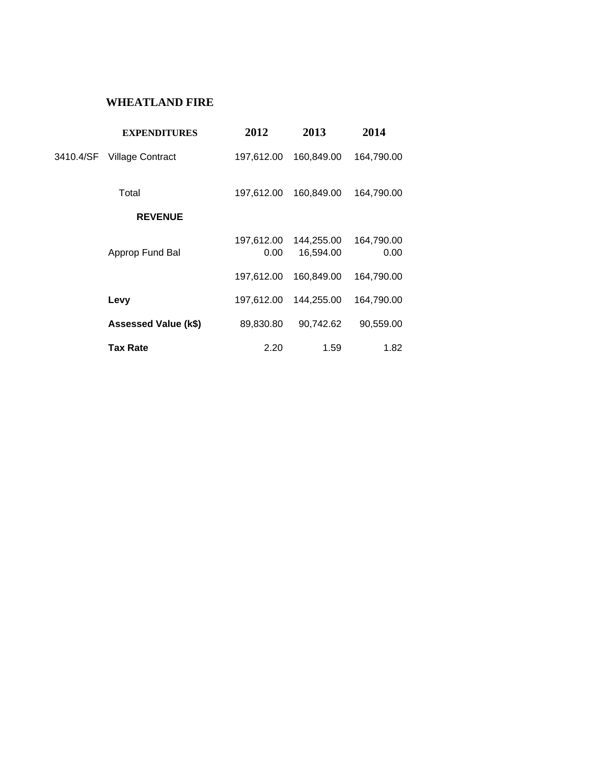## **WHEATLAND FIRE**

|           | <b>EXPENDITURES</b>     | 2012               | 2013                    | 2014               |
|-----------|-------------------------|--------------------|-------------------------|--------------------|
| 3410.4/SF | <b>Village Contract</b> | 197,612.00         | 160,849.00              | 164,790.00         |
|           | Total                   | 197,612.00         | 160,849.00              | 164,790.00         |
|           | <b>REVENUE</b>          |                    |                         |                    |
|           | Approp Fund Bal         | 197,612.00<br>0.00 | 144,255.00<br>16,594.00 | 164,790.00<br>0.00 |
|           |                         | 197,612.00         | 160,849.00              | 164,790.00         |
|           | Levy                    | 197,612.00         | 144,255.00              | 164,790.00         |
|           | Assessed Value (k\$)    | 89,830.80          | 90,742.62               | 90,559.00          |
|           | Tax Rate                | 2.20               | 1.59                    | 1.82               |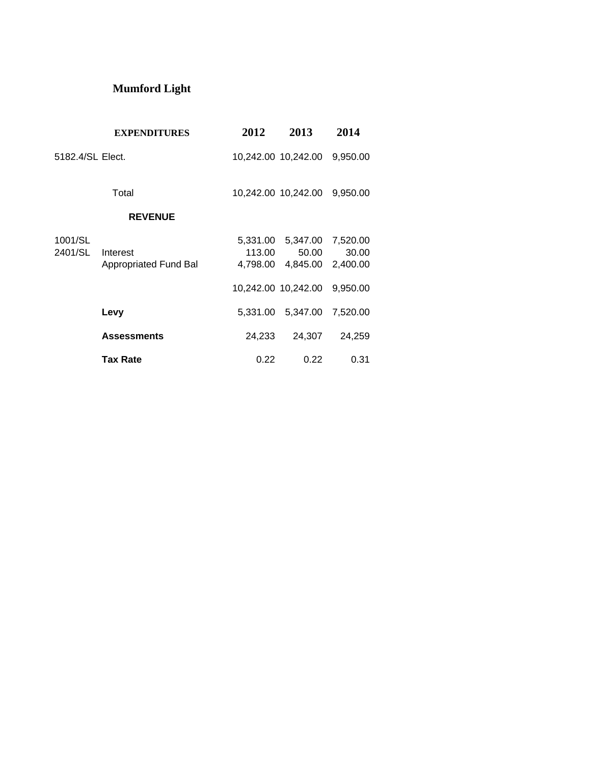## **Mumford Light**

|                    | <b>EXPENDITURES</b>                      | 2012               | 2013                                | 2014                       |
|--------------------|------------------------------------------|--------------------|-------------------------------------|----------------------------|
| 5182.4/SL Elect.   |                                          |                    | 10,242.00 10,242.00 9,950.00        |                            |
|                    | Total                                    |                    | 10,242.00 10,242.00 9,950.00        |                            |
|                    | <b>REVENUE</b>                           |                    |                                     |                            |
| 1001/SL<br>2401/SL | Interest<br><b>Appropriated Fund Bal</b> | 113.00<br>4,798.00 | 5,331.00 5,347.00 7,520.00<br>50.00 | 30.00<br>4,845.00 2,400.00 |
|                    |                                          |                    | 10,242.00 10,242.00                 | 9,950.00                   |
|                    | Levy                                     |                    | 5,331.00 5,347.00                   | 7,520.00                   |
|                    | <b>Assessments</b>                       | 24,233             | 24,307                              | 24,259                     |
|                    | <b>Tax Rate</b>                          | 0.22               | 0.22                                | 0.31                       |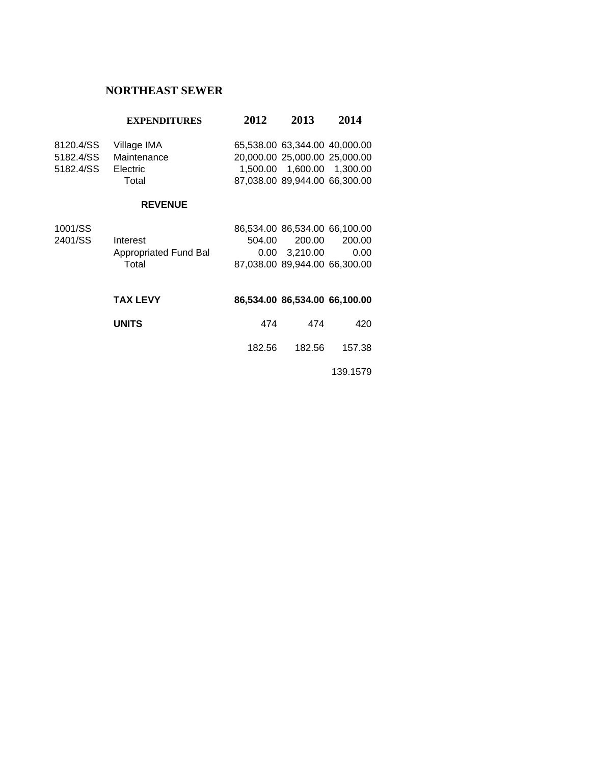### **NORTHEAST SEWER**

### **EXPENDITURES 2012 2013 2014**

| Maintenance     |             |                                                                                                                                 |
|-----------------|-------------|---------------------------------------------------------------------------------------------------------------------------------|
| <b>Electric</b> |             |                                                                                                                                 |
| Total           |             |                                                                                                                                 |
|                 | Village IMA | 65.538.00 63.344.00 40.000.00<br>20.000.00 25.000.00 25.000.00<br>1.500.00  1.600.00  1.300.00<br>87.038.00 89.944.00 66.300.00 |

#### **REVENUE**

| 200.00 | 200.00                                                                                    |
|--------|-------------------------------------------------------------------------------------------|
|        | 0.00                                                                                      |
|        |                                                                                           |
|        | 86.534.00 86.534.00 66.100.00<br>504.00<br>0.00 3.210.00<br>87.038.00 89.944.00 66.300.00 |

| <b>TAX LEVY</b> |        | 86.534.00 86.534.00 66.100.00 |        |
|-----------------|--------|-------------------------------|--------|
| <b>UNITS</b>    | 474    | 474                           | 420    |
|                 | 182.56 | 182.56                        | 157.38 |

139.1579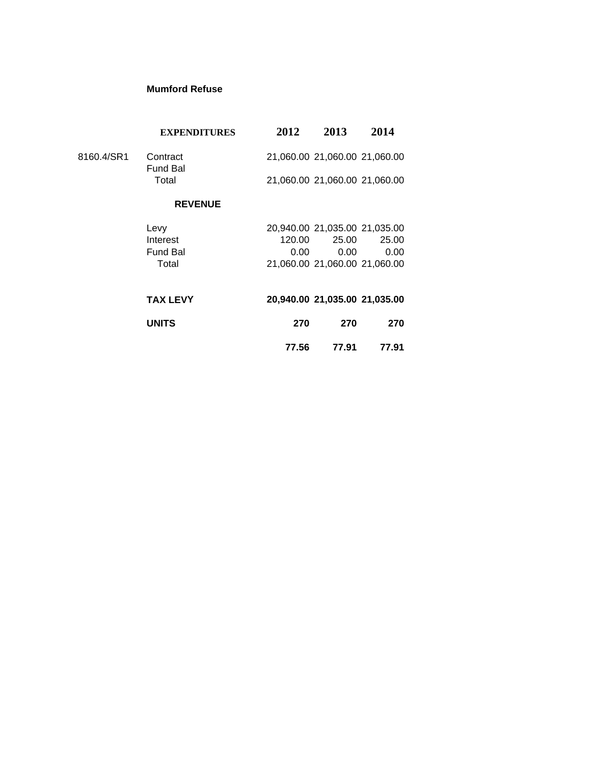#### **Mumford Refuse**

|            | <b>EXPENDITURES</b>         | 2012   | 2013                          | 2014  |
|------------|-----------------------------|--------|-------------------------------|-------|
| 8160.4/SR1 | Contract<br><b>Fund Bal</b> |        | 21,060.00 21,060.00 21,060.00 |       |
|            | Total                       |        | 21,060.00 21,060.00 21,060.00 |       |
|            | <b>REVENUE</b>              |        |                               |       |
|            | Levy                        |        | 20,940.00 21,035.00 21,035.00 |       |
|            | Interest                    | 120.00 | 25.00                         | 25.00 |
|            | <b>Fund Bal</b>             | 0.00   | 0.00                          | 0.00  |
|            | Total                       |        | 21,060.00 21,060.00 21,060.00 |       |
|            | <b>TAX LEVY</b>             |        | 20,940.00 21,035.00 21,035.00 |       |
|            | <b>UNITS</b>                | 270    | 270                           | 270   |
|            |                             | 77.56  | 77.91                         | 77.91 |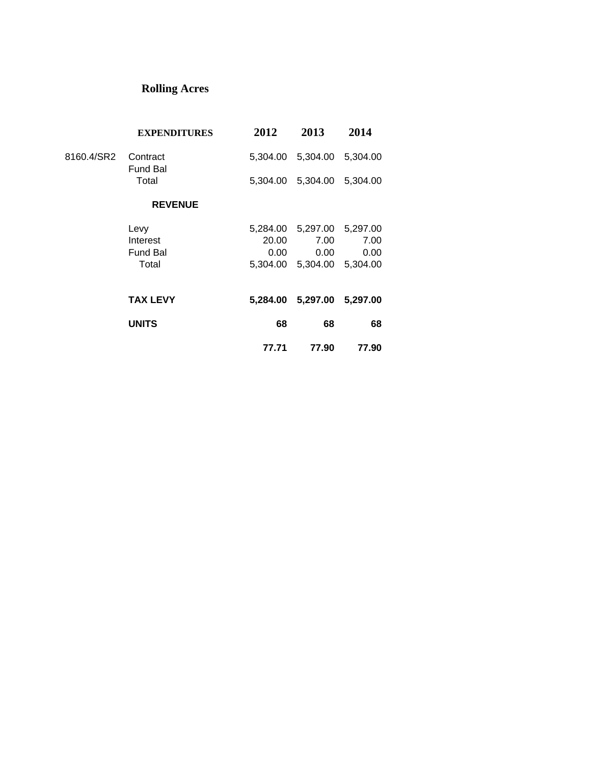## **Rolling Acres**

|            | <b>EXPENDITURES</b>         | 2012  | 2013                       | 2014  |  |
|------------|-----------------------------|-------|----------------------------|-------|--|
| 8160.4/SR2 | Contract<br><b>Fund Bal</b> |       | 5,304.00 5,304.00 5,304.00 |       |  |
|            | Total                       |       | 5,304.00 5,304.00 5,304.00 |       |  |
|            | <b>REVENUE</b>              |       |                            |       |  |
|            | Levy                        |       | 5,284.00 5,297.00 5,297.00 |       |  |
|            | Interest                    | 20.00 | 7.00                       | 7.00  |  |
|            | <b>Fund Bal</b>             | 0.00  | 0.00                       | 0.00  |  |
|            | Total                       |       | 5,304.00 5,304.00 5,304.00 |       |  |
|            | <b>TAX LEVY</b>             |       | 5,284.00 5,297.00 5,297.00 |       |  |
|            | <b>UNITS</b>                | 68    | 68                         | 68    |  |
|            |                             | 77.71 | 77.90                      | 77.90 |  |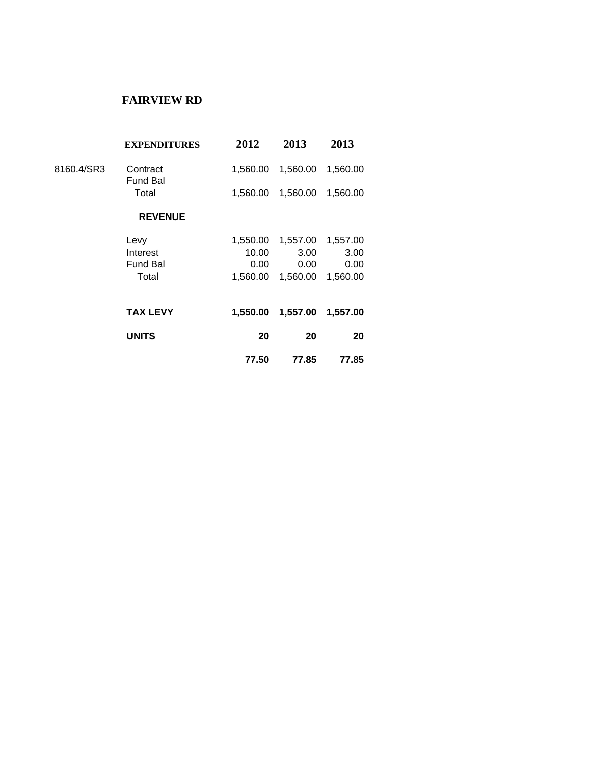## **FAIRVIEW RD**

|            | <b>EXPENDITURES</b>         | 2012     | 2013     | 2013     |  |
|------------|-----------------------------|----------|----------|----------|--|
| 8160.4/SR3 | Contract<br><b>Fund Bal</b> | 1,560.00 | 1,560.00 | 1,560.00 |  |
|            | Total                       | 1,560.00 | 1,560.00 | 1,560.00 |  |
|            | <b>REVENUE</b>              |          |          |          |  |
|            | Levy                        | 1,550.00 | 1,557.00 | 1,557.00 |  |
|            | Interest                    | 10.00    | 3.00     | 3.00     |  |
|            | <b>Fund Bal</b>             | 0.00     | 0.00     | 0.00     |  |
|            | Total                       | 1.560.00 | 1,560.00 | 1,560.00 |  |
|            | <b>TAX LEVY</b>             | 1,550.00 | 1,557.00 | 1,557.00 |  |
|            | <b>UNITS</b>                | 20       | 20       | 20       |  |
|            |                             | 77.50    | 77.85    | 77.85    |  |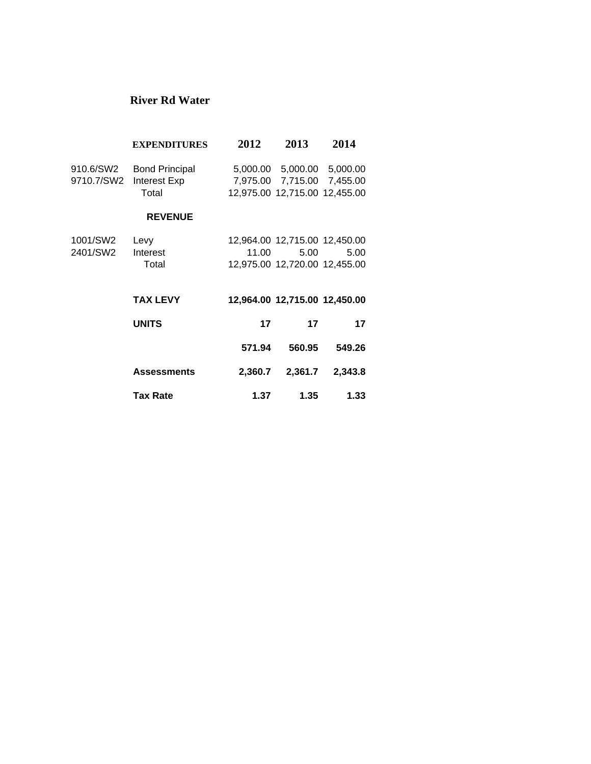## **River Rd Water**

|            | <b>EXPENDITURES</b>   | 2012    | 2013                          | 2014     |
|------------|-----------------------|---------|-------------------------------|----------|
| 910.6/SW2  | <b>Bond Principal</b> |         | 5,000.00 5,000.00 5,000.00    |          |
| 9710.7/SW2 | Interest Exp          |         | 7,975.00 7,715.00             | 7,455.00 |
|            | Total                 |         | 12,975.00 12,715.00 12,455.00 |          |
|            | <b>REVENUE</b>        |         |                               |          |
| 1001/SW2   | Levy                  |         | 12,964.00 12,715.00 12,450.00 |          |
| 2401/SW2   | Interest              | 11.00   | 5.00                          | 5.00     |
|            | Total                 |         | 12,975.00 12,720.00 12,455.00 |          |
|            | <b>TAX LEVY</b>       |         | 12,964.00 12,715.00 12,450.00 |          |
|            | <b>UNITS</b>          | 17      | 17                            | 17       |
|            |                       | 571.94  | 560.95                        | 549.26   |
|            | <b>Assessments</b>    | 2,360.7 | 2,361.7                       | 2,343.8  |
|            | <b>Tax Rate</b>       | 1.37    | 1.35                          | 1.33     |